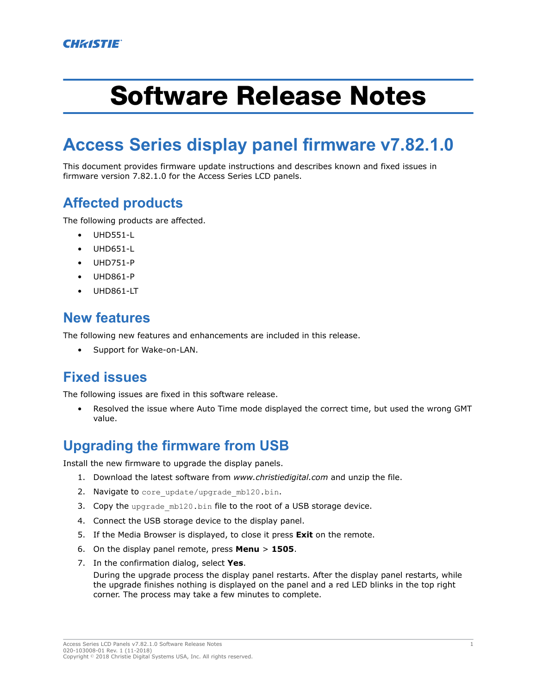# Software Release Notes

## **Access Series display panel firmware v7.82.1.0**

This document provides firmware update instructions and describes known and fixed issues in firmware version 7.82.1.0 for the Access Series LCD panels.

#### **Affected products**

The following products are affected.

- UHD551-L
- UHD651-L
- UHD751-P
- UHD861-P
- UHD861-LT

#### **New features**

The following new features and enhancements are included in this release.

• Support for Wake-on-LAN.

#### **Fixed issues**

The following issues are fixed in this software release.

• Resolved the issue where Auto Time mode displayed the correct time, but used the wrong GMT value.

#### **Upgrading the firmware from USB**

Install the new firmware to upgrade the display panels.

- 1. Download the latest software from *[www.christiedigital.com](http://www.christiedigital.com)* and unzip the file.
- 2. Navigate to core update/upgrade mb120.bin.
- 3. Copy the upgrade mb120.bin file to the root of a USB storage device.
- 4. Connect the USB storage device to the display panel.
- 5. If the Media Browser is displayed, to close it press **Exit** on the remote.
- 6. On the display panel remote, press **Menu** > **1505**.
- 7. In the confirmation dialog, select **Yes**.

During the upgrade process the display panel restarts. After the display panel restarts, while the upgrade finishes nothing is displayed on the panel and a red LED blinks in the top right corner. The process may take a few minutes to complete.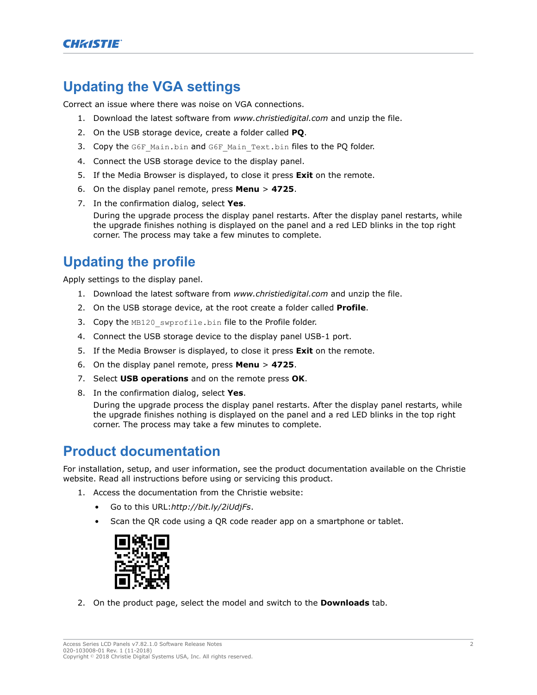#### **Updating the VGA settings**

Correct an issue where there was noise on VGA connections.

- 1. Download the latest software from *[www.christiedigital.com](http://www.christiedigital.com)* and unzip the file.
- 2. On the USB storage device, create a folder called **PQ**.
- 3. Copy the G6F Main.bin and G6F Main Text.bin files to the PQ folder.
- 4. Connect the USB storage device to the display panel.
- 5. If the Media Browser is displayed, to close it press **Exit** on the remote.
- 6. On the display panel remote, press **Menu** > **4725**.
- 7. In the confirmation dialog, select **Yes**.

During the upgrade process the display panel restarts. After the display panel restarts, while the upgrade finishes nothing is displayed on the panel and a red LED blinks in the top right corner. The process may take a few minutes to complete.

### **Updating the profile**

Apply settings to the display panel.

- 1. Download the latest software from *[www.christiedigital.com](http://www.christiedigital.com)* and unzip the file.
- 2. On the USB storage device, at the root create a folder called **Profile**.
- 3. Copy the MB120 swprofile.bin file to the Profile folder.
- 4. Connect the USB storage device to the display panel USB-1 port.
- 5. If the Media Browser is displayed, to close it press **Exit** on the remote.
- 6. On the display panel remote, press **Menu** > **4725**.
- 7. Select **USB operations** and on the remote press **OK**.
- 8. In the confirmation dialog, select **Yes**.

During the upgrade process the display panel restarts. After the display panel restarts, while the upgrade finishes nothing is displayed on the panel and a red LED blinks in the top right corner. The process may take a few minutes to complete.

#### **Product documentation**

For installation, setup, and user information, see the product documentation available on the Christie website. Read all instructions before using or servicing this product.

- 1. Access the documentation from the Christie website:
	- Go to this URL:*<http://bit.ly/2iUdjFs>*.
	- Scan the QR code using a QR code reader app on a smartphone or tablet.



2. On the product page, select the model and switch to the **Downloads** tab.